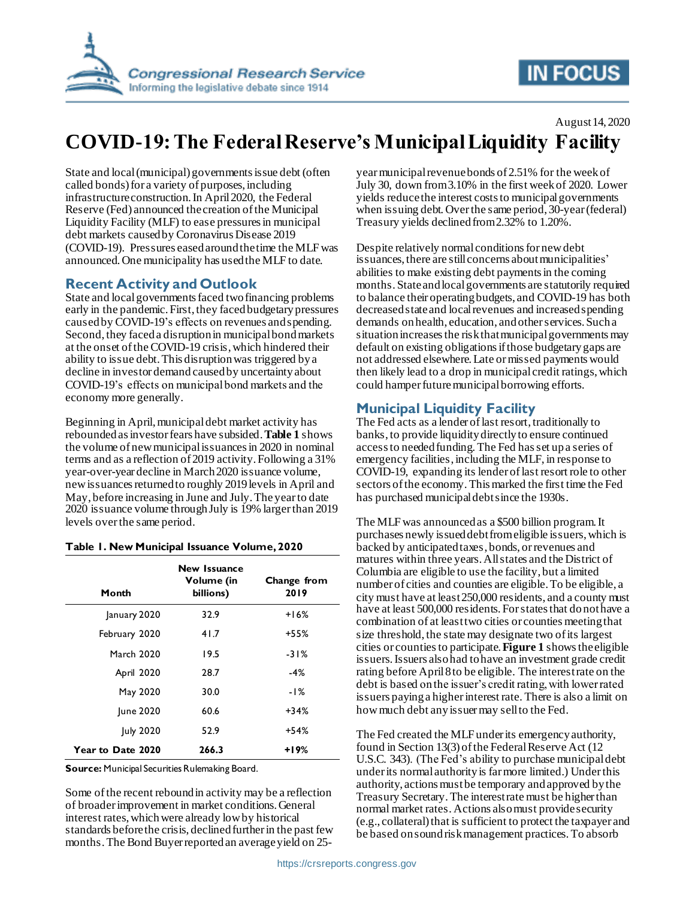

# **IN FOCUS**

August 14, 2020

# **COVID-19: The Federal Reserve's Municipal Liquidity Facility**

State and local (municipal) governments issue debt (often called bonds) for a variety of purposes, including infrastructure construction.In April 2020, the Federal Reserve (Fed) announced the creation of the Municipal Liquidity Facility (MLF) to ease pressures in municipal debt markets caused by Coronavirus Disease 2019 (COVID-19). Pressures eased around the time the MLF was announced.One municipality has used the MLF to date.

### **Recent Activity and Outlook**

State and local governments faced two financing problems early in the pandemic. First, they faced budgetary pressures caused by COVID-19's effects on revenues and spending. Second, they faced a disruption in municipal bond markets at the onset of the COVID-19 crisis, which hindered their ability to issue debt. This disruption was triggered by a decline in investor demand caused by uncertainty about COVID-19's effects on municipal bond markets and the economy more generally.

Beginning in April, municipal debt market activity has rebounded as investor fears have subsided. **[Table 1](#page-0-0)** shows the volume of new municipal issuances in 2020 in nominal terms and as a reflection of 2019 activity. Following a 31% year-over-year decline in March 2020 issuance volume, new issuances returned to roughly 2019 levels in April and May, before increasing in June and July. The year to date 2020 issuance volume through July is 19% larger than 2019 levels over the same period.

| Month             | New Issuance<br>Volume (in<br>billions) | Change from<br>2019 |
|-------------------|-----------------------------------------|---------------------|
| January 2020      | 32.9                                    | $+16%$              |
| February 2020     | 41.7                                    | +55%                |
| <b>March 2020</b> | 19.5                                    | $-31%$              |
| April 2020        | 28.7                                    | $-4%$               |
| May 2020          | 30.0                                    | $-1\%$              |
| <b>June 2020</b>  | 60.6                                    | +34%                |
| July 2020         | 52.9                                    | +54%                |
| Year to Date 2020 | 266.3                                   | $+19%$              |

#### <span id="page-0-0"></span>**Table 1. New Municipal Issuance Volume, 2020**

**Source:** Municipal Securities Rulemaking Board.

Some of the recent rebound in activity may be a reflection of broader improvement in market conditions. General interest rates, which were already low by historical standards before the crisis, declined further in the past few months. The Bond Buyer reported an average yield on 25year municipal revenue bonds of 2.51% for the week of July 30, down from 3.10% in the first week of 2020. Lower yields reducethe interest costs to municipal governments when issuing debt. Over the same period, 30-year (federal) Treasury yields declined from 2.32% to 1.20%.

Despite relatively normal conditions for new debt issuances, there are still concerns about municipalities' abilities to make existing debt payments in the coming months. State and local governments are statutorily required to balance their operating budgets, and COVID-19 has both decreased state and local revenues and increased spending demands onhealth, education, and other services. Such a situation increases the risk that municipal governments may default on existing obligations if those budgetary gaps are not addressed elsewhere. Late or missed payments would then likely lead to a drop in municipal credit ratings, which could hamper future municipal borrowing efforts.

### **Municipal Liquidity Facility**

The Fed acts as a lender of last resort, traditionally to banks, to provide liquidity directly to ensure continued access to needed funding. The Fed has set up a series of emergency facilities, including the MLF, in response to COVID-19, expanding its lender of last resort role to other sectors of the economy. Thismarked the first time the Fed has purchased municipal debt since the 1930s.

The MLF was announced as a \$500 billion program. It purchases newly issued debt from eligible issuers, which is backed by anticipated taxes, bonds, or revenues and matures within three years. All states and the District of Columbia are eligible to use the facility, but a limited number of cities and counties are eligible. To be eligible, a city must have at least 250,000 residents, and a county must have at least 500,000 residents. For states that do not have a combination of at least two cities or counties meeting that size threshold, the state may designate two of its largest cities or countiesto participate. **[Figure 1](#page-1-0)** shows the eligible issuers. Issuers also had to have an investment grade credit rating before April 8 to be eligible. The interest rate on the debt is based on the issuer's credit rating, with lower rated issuers paying a higher interest rate. There is also a limit on how much debt any issuer may sell to the Fed.

The Fed created the MLF under its emergency authority, found in Section 13(3) of the Federal Reserve Act (12 U.S.C. 343). (The Fed's ability to purchase municipal debt under its normal authority is far more limited.) Under this authority, actions must be temporary and approved by the Treasury Secretary.The interest rate must be higher than normal market rates. Actions alsomust provide security (e.g., collateral) that is sufficient to protect the taxpayer and be based on sound risk management practices. To absorb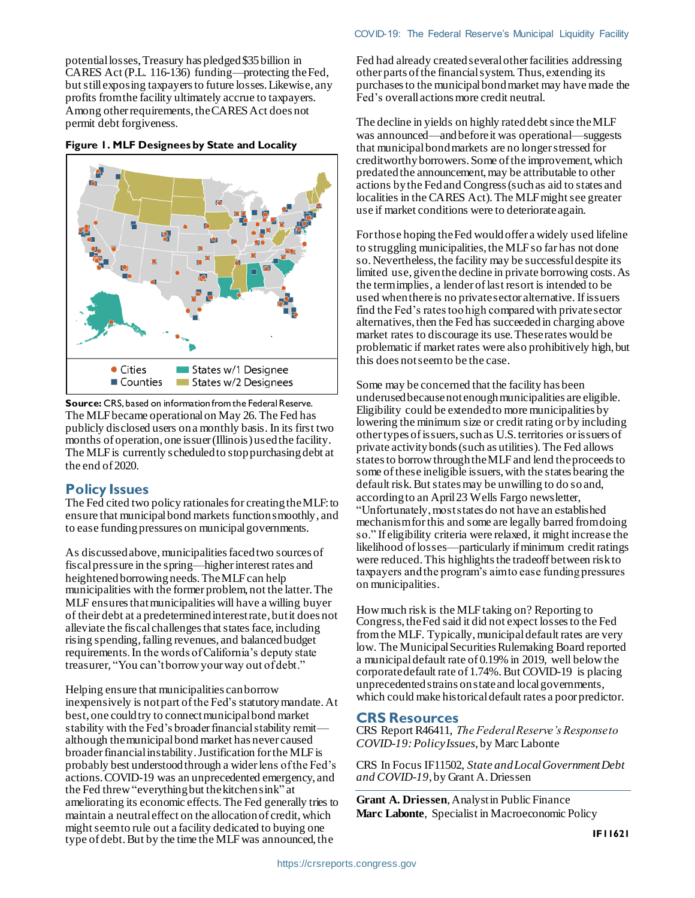potential losses, Treasury has pledged \$35 billion in CARES Act (P.L. 116-136) funding—protecting the Fed, but still exposing taxpayers to future losses. Likewise, any profits from the facility ultimately accrue to taxpayers. Among other requirements, the CARES Act does not permit debt forgiveness.

<span id="page-1-0"></span>



**Source:** CRS, based on information from the Federal Reserve. The MLF became operational on May 26. The Fed has publicly disclosed users on a monthly basis. In its first two months of operation, one issuer (Illinois) used the facility. The MLF is currently scheduled to stop purchasing debt at the end of 2020.

### **Policy Issues**

The Fed cited two policy rationales for creating the MLF:to ensure that municipal bond markets function smoothly, and to ease funding pressures on municipalgovernments.

As discussed above, municipalities faced two sources of fiscal pressure in the spring—higher interest rates and heightened borrowing needs. The MLF can help municipalities with the former problem, not the latter. The MLF ensures that municipalities will have a willing buyer of their debt at a predetermined interest rate, but it does not alleviate the fiscal challenges that states face, including rising spending, falling revenues, and balancedbudget requirements. In the words of California's deputy state treasurer, "You can't borrow your way out of debt."

Helping ensure that municipalities can borrow inexpensively is not part of the Fed's statutory mandate. At best, one could try to connect municipal bond market stability with the Fed's broader financial stability remit although the municipal bond market has never caused broader financial instability. Justification for the MLF is probably best understood through a widerlens of the Fed's actions.COVID-19 was an unprecedented emergency, and the Fed threw "everything but the kitchen sink" at ameliorating its economic effects. The Fed generally tries to maintain a neutral effect on the allocation of credit, which might seem to rule out a facility dedicated to buying one type of debt. But by the time the MLF was announced, the

Fed had already created several other facilities addressing other parts of the financial system. Thus, extending its purchases to the municipal bond market may have made the Fed's overall actions more credit neutral.

The decline in yields on highly rated debt since the MLF was announced—and before it was operational—suggests that municipal bond markets are no longer stressed for creditworthy borrowers. Some of the improvement, which predated the announcement, may be attributable to other actions by the Fed and Congress (such as aid to states and localities in the CARES Act). The MLF might see greater use if market conditions were to deteriorate again.

For those hoping the Fed would offer a widely used lifeline to struggling municipalities, the MLF so far has not done so. Nevertheless, the facility may be successful despite its limited use, given the decline in private borrowing costs. As the termimplies, a lender of last resort is intended to be used when there is no private sector alternative. If issuers find the Fed's rates too high compared with private sector alternatives, then the Fed has succeeded in charging above market rates to discourage its use. These rates would be problematic if market rates were also prohibitively high, but this does not seem to be the case.

Some may be concerned that the facility has been underused because not enough municipalities are eligible. Eligibility could be extended to more municipalities by lowering the minimum size or credit rating or by including other types of issuers, such as U.S. territories or issuers of private activity bonds (such as utilities). The Fed allows states to borrow through the MLF and lend the proceeds to some of these ineligible issuers, with the states bearing the default risk. But states may be unwilling to do so and, according to an April 23 Wells Fargo newsletter, "Unfortunately, most states do not have an established mechanism for this and some are legally barred from doing so." If eligibility criteria were relaxed, it might increase the likelihood of losses—particularly if minimum credit ratings were reduced. This highlights the tradeoff between risk to taxpayers and the program's aim to ease funding pressures on municipalities.

How much risk is the MLF taking on? Reporting to Congress, the Fed said it did not expect losses to the Fed from the MLF. Typically, municipal default rates are very low. The Municipal Securities Rulemaking Board reported a municipal default rate of 0.19% in 2019, well below the corporate default rate of 1.74%. But COVID-19 is placing unprecedented strains on state and local governments, which could make historical default rates a poor predictor.

#### **CRS Resources**

CRS Report R46411, *The Federal Reserve's Response to COVID-19: Policy Issues*, by Marc Labonte

CRS In Focus IF11502, *State and Local Government Debt and COVID-19*, by Grant A. Driessen

**Grant A. Driessen**, Analyst in Public Finance **Marc Labonte**, Specialist in Macroeconomic Policy